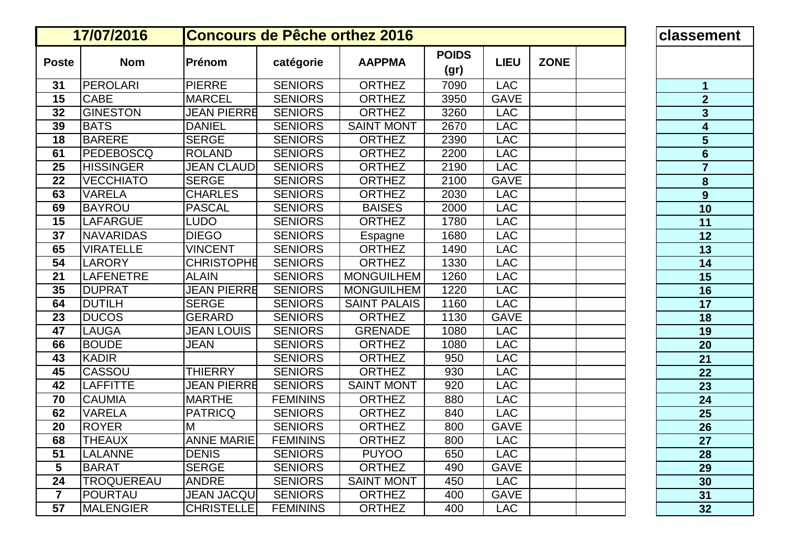|                | 17/07/2016        | <b>Concours de Pêche orthez 2016</b> | classen         |                     |                      |             |             |                                      |
|----------------|-------------------|--------------------------------------|-----------------|---------------------|----------------------|-------------|-------------|--------------------------------------|
| <b>Poste</b>   | <b>Nom</b>        | Prénom                               | catégorie       | <b>AAPPMA</b>       | <b>POIDS</b><br>(gr) | <b>LIEU</b> | <b>ZONE</b> |                                      |
| 31             | <b>PEROLARI</b>   | <b>PIERRE</b>                        | <b>SENIORS</b>  | <b>ORTHEZ</b>       | 7090                 | <b>LAC</b>  |             | $\mathbf 1$                          |
| 15             | <b>CABE</b>       | <b>MARCEL</b>                        | <b>SENIORS</b>  | <b>ORTHEZ</b>       | 3950                 | <b>GAVE</b> |             | $\overline{2}$                       |
| 32             | <b>GINESTON</b>   | <b>JEAN PIERRE</b>                   | <b>SENIORS</b>  | <b>ORTHEZ</b>       | 3260                 | <b>LAC</b>  |             | $\overline{\mathbf{3}}$              |
| 39             | <b>BATS</b>       | <b>DANIEL</b>                        | <b>SENIORS</b>  | <b>SAINT MONT</b>   | 2670                 | <b>LAC</b>  |             | $\overline{\mathbf{4}}$              |
| 18             | <b>BARERE</b>     | <b>SERGE</b>                         | <b>SENIORS</b>  | <b>ORTHEZ</b>       | 2390                 | <b>LAC</b>  |             | $\overline{\overline{\overline{5}}}$ |
| 61             | <b>PEDEBOSCQ</b>  | <b>ROLAND</b>                        | <b>SENIORS</b>  | <b>ORTHEZ</b>       | 2200                 | <b>LAC</b>  |             | $6\phantom{1}$                       |
| 25             | <b>HISSINGER</b>  | <b>JEAN CLAUD</b>                    | <b>SENIORS</b>  | <b>ORTHEZ</b>       | 2190                 | <b>LAC</b>  |             | $\overline{7}$                       |
| 22             | <b>VECCHIATO</b>  | <b>SERGE</b>                         | <b>SENIORS</b>  | <b>ORTHEZ</b>       | 2100                 | <b>GAVE</b> |             | $\pmb{8}$                            |
| 63             | <b>VARELA</b>     | <b>CHARLES</b>                       | <b>SENIORS</b>  | <b>ORTHEZ</b>       | 2030                 | <b>LAC</b>  |             | $\overline{9}$                       |
| 69             | <b>BAYROU</b>     | <b>PASCAL</b>                        | <b>SENIORS</b>  | <b>BAISES</b>       | 2000                 | <b>LAC</b>  |             | 10                                   |
| 15             | <b>LAFARGUE</b>   | <b>LUDO</b>                          | <b>SENIORS</b>  | <b>ORTHEZ</b>       | 1780                 | <b>LAC</b>  |             | 11                                   |
| 37             | <b>NAVARIDAS</b>  | <b>DIEGO</b>                         | <b>SENIORS</b>  | Espagne             | 1680                 | <b>LAC</b>  |             | 12                                   |
| 65             | <b>VIRATELLE</b>  | <b>VINCENT</b>                       | <b>SENIORS</b>  | <b>ORTHEZ</b>       | 1490                 | <b>LAC</b>  |             | 13                                   |
| 54             | <b>LARORY</b>     | <b>CHRISTOPHE</b>                    | <b>SENIORS</b>  | <b>ORTHEZ</b>       | 1330                 | <b>LAC</b>  |             | 14                                   |
| 21             | <b>LAFENETRE</b>  | <b>ALAIN</b>                         | <b>SENIORS</b>  | <b>MONGUILHEM</b>   | 1260                 | <b>LAC</b>  |             | 15                                   |
| 35             | <b>DUPRAT</b>     | <b>JEAN PIERRE</b>                   | <b>SENIORS</b>  | <b>MONGUILHEM</b>   | 1220                 | <b>LAC</b>  |             | 16                                   |
| 64             | <b>DUTILH</b>     | <b>SERGE</b>                         | <b>SENIORS</b>  | <b>SAINT PALAIS</b> | 1160                 | <b>LAC</b>  |             | 17                                   |
| 23             | <b>DUCOS</b>      | <b>GERARD</b>                        | <b>SENIORS</b>  | <b>ORTHEZ</b>       | 1130                 | <b>GAVE</b> |             | 18                                   |
| 47             | <b>LAUGA</b>      | <b>JEAN LOUIS</b>                    | <b>SENIORS</b>  | <b>GRENADE</b>      | 1080                 | <b>LAC</b>  |             | 19                                   |
| 66             | <b>BOUDE</b>      | JEAN                                 | <b>SENIORS</b>  | <b>ORTHEZ</b>       | 1080                 | <b>LAC</b>  |             | 20                                   |
| 43             | <b>KADIR</b>      |                                      | <b>SENIORS</b>  | <b>ORTHEZ</b>       | 950                  | <b>LAC</b>  |             | 21                                   |
| 45             | CASSOU            | <b>THIERRY</b>                       | <b>SENIORS</b>  | <b>ORTHEZ</b>       | 930                  | <b>LAC</b>  |             | 22                                   |
| 42             | <b>LAFFITTE</b>   | <b>JEAN PIERRE</b>                   | <b>SENIORS</b>  | <b>SAINT MONT</b>   | 920                  | <b>LAC</b>  |             | 23                                   |
| 70             | <b>CAUMIA</b>     | <b>MARTHE</b>                        | <b>FEMININS</b> | <b>ORTHEZ</b>       | 880                  | <b>LAC</b>  |             | 24                                   |
| 62             | <b>VARELA</b>     | <b>PATRICQ</b>                       | <b>SENIORS</b>  | <b>ORTHEZ</b>       | 840                  | <b>LAC</b>  |             | 25                                   |
| 20             | <b>ROYER</b>      | M                                    | <b>SENIORS</b>  | <b>ORTHEZ</b>       | 800                  | <b>GAVE</b> |             | 26                                   |
| 68             | <b>THEAUX</b>     | <b>ANNE MARIE</b>                    | <b>FEMININS</b> | <b>ORTHEZ</b>       | 800                  | <b>LAC</b>  |             | 27                                   |
| 51             | <b>LALANNE</b>    | <b>DENIS</b>                         | <b>SENIORS</b>  | <b>PUYOO</b>        | 650                  | <b>LAC</b>  |             | 28                                   |
| 5              | <b>BARAT</b>      | <b>SERGE</b>                         | <b>SENIORS</b>  | <b>ORTHEZ</b>       | 490                  | <b>GAVE</b> |             | 29                                   |
| 24             | <b>TROQUEREAU</b> | <b>ANDRE</b>                         | <b>SENIORS</b>  | <b>SAINT MONT</b>   | 450                  | <b>LAC</b>  |             | 30                                   |
| $\overline{7}$ | <b>POURTAU</b>    | <b>JEAN JACQU</b>                    | <b>SENIORS</b>  | <b>ORTHEZ</b>       | 400                  | <b>GAVE</b> |             | 31                                   |
| 57             | <b>MALENGIER</b>  | <b>CHRISTELLE</b>                    | <b>FEMININS</b> | <b>ORTHEZ</b>       | 400                  | <b>LAC</b>  |             | 32                                   |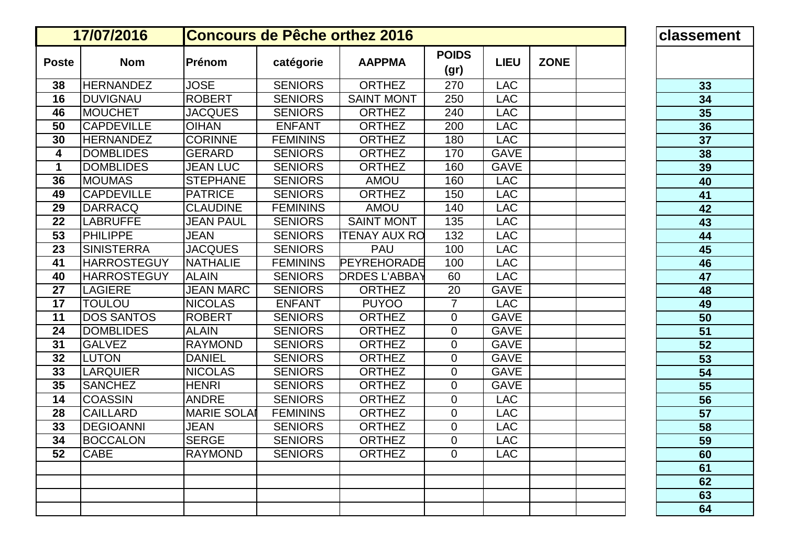|              | 17/07/2016         | <b>Concours de Pêche orthez 2016</b> | classen         |                      |                      |             |             |    |
|--------------|--------------------|--------------------------------------|-----------------|----------------------|----------------------|-------------|-------------|----|
| <b>Poste</b> | <b>Nom</b>         | Prénom                               | catégorie       | <b>AAPPMA</b>        | <b>POIDS</b><br>(gr) | <b>LIEU</b> | <b>ZONE</b> |    |
| 38           | <b>HERNANDEZ</b>   | <b>JOSE</b>                          | <b>SENIORS</b>  | <b>ORTHEZ</b>        | 270                  | <b>LAC</b>  |             | 33 |
| 16           | <b>DUVIGNAU</b>    | <b>ROBERT</b>                        | <b>SENIORS</b>  | <b>SAINT MONT</b>    | 250                  | <b>LAC</b>  |             | 34 |
| 46           | <b>MOUCHET</b>     | <b>JACQUES</b>                       | <b>SENIORS</b>  | <b>ORTHEZ</b>        | 240                  | <b>LAC</b>  |             | 35 |
| 50           | <b>CAPDEVILLE</b>  | <b>OIHAN</b>                         | <b>ENFANT</b>   | <b>ORTHEZ</b>        | 200                  | <b>LAC</b>  |             | 36 |
| 30           | <b>HERNANDEZ</b>   | <b>CORINNE</b>                       | <b>FEMININS</b> | <b>ORTHEZ</b>        | 180                  | <b>LAC</b>  |             | 37 |
| 4            | <b>DOMBLIDES</b>   | <b>GERARD</b>                        | <b>SENIORS</b>  | <b>ORTHEZ</b>        | 170                  | <b>GAVE</b> |             | 38 |
| 1            | <b>DOMBLIDES</b>   | <b>JEAN LUC</b>                      | <b>SENIORS</b>  | <b>ORTHEZ</b>        | 160                  | <b>GAVE</b> |             | 39 |
| 36           | <b>MOUMAS</b>      | <b>STEPHANE</b>                      | <b>SENIORS</b>  | <b>AMOU</b>          | 160                  | <b>LAC</b>  |             | 40 |
| 49           | <b>CAPDEVILLE</b>  | <b>PATRICE</b>                       | <b>SENIORS</b>  | <b>ORTHEZ</b>        | 150                  | <b>LAC</b>  |             | 41 |
| 29           | <b>DARRACQ</b>     | <b>CLAUDINE</b>                      | <b>FEMININS</b> | <b>AMOU</b>          | 140                  | <b>LAC</b>  |             | 42 |
| 22           | <b>LABRUFFE</b>    | <b>JEAN PAUL</b>                     | <b>SENIORS</b>  | <b>SAINT MONT</b>    | 135                  | <b>LAC</b>  |             | 43 |
| 53           | <b>PHILIPPE</b>    | <b>JEAN</b>                          | <b>SENIORS</b>  | <b>TENAY AUX RO</b>  | 132                  | <b>LAC</b>  |             | 44 |
| 23           | <b>SINISTERRA</b>  | <b>JACQUES</b>                       | <b>SENIORS</b>  | <b>PAU</b>           | 100                  | <b>LAC</b>  |             | 45 |
| 41           | <b>HARROSTEGUY</b> | <b>NATHALIE</b>                      | <b>FEMININS</b> | PEYREHORADE          | 100                  | <b>LAC</b>  |             | 46 |
| 40           | <b>HARROSTEGUY</b> | <b>ALAIN</b>                         | <b>SENIORS</b>  | <b>DRDES L'ABBAY</b> | 60                   | <b>LAC</b>  |             | 47 |
| 27           | <b>LAGIERE</b>     | <b>JEAN MARC</b>                     | <b>SENIORS</b>  | <b>ORTHEZ</b>        | 20                   | <b>GAVE</b> |             | 48 |
| 17           | <b>TOULOU</b>      | <b>NICOLAS</b>                       | <b>ENFANT</b>   | <b>PUYOO</b>         | $\overline{7}$       | <b>LAC</b>  |             | 49 |
| 11           | <b>DOS SANTOS</b>  | <b>ROBERT</b>                        | <b>SENIORS</b>  | <b>ORTHEZ</b>        | $\mathbf 0$          | <b>GAVE</b> |             | 50 |
| 24           | <b>DOMBLIDES</b>   | <b>ALAIN</b>                         | <b>SENIORS</b>  | <b>ORTHEZ</b>        | $\Omega$             | <b>GAVE</b> |             | 51 |
| 31           | <b>GALVEZ</b>      | <b>RAYMOND</b>                       | <b>SENIORS</b>  | <b>ORTHEZ</b>        | $\mathbf 0$          | <b>GAVE</b> |             | 52 |
| 32           | <b>LUTON</b>       | <b>DANIEL</b>                        | <b>SENIORS</b>  | <b>ORTHEZ</b>        | $\mathbf 0$          | <b>GAVE</b> |             | 53 |
| 33           | <b>LARQUIER</b>    | <b>NICOLAS</b>                       | <b>SENIORS</b>  | <b>ORTHEZ</b>        | $\mathbf 0$          | <b>GAVE</b> |             | 54 |
| 35           | <b>SANCHEZ</b>     | <b>HENRI</b>                         | <b>SENIORS</b>  | <b>ORTHEZ</b>        | $\mathbf 0$          | <b>GAVE</b> |             | 55 |
| 14           | <b>COASSIN</b>     | <b>ANDRE</b>                         | <b>SENIORS</b>  | <b>ORTHEZ</b>        | $\mathbf 0$          | <b>LAC</b>  |             | 56 |
| 28           | <b>CAILLARD</b>    | <b>MARIE SOLAI</b>                   | <b>FEMININS</b> | <b>ORTHEZ</b>        | 0                    | <b>LAC</b>  |             | 57 |
| 33           | <b>DEGIOANNI</b>   | <b>JEAN</b>                          | <b>SENIORS</b>  | <b>ORTHEZ</b>        | 0                    | <b>LAC</b>  |             | 58 |
| 34           | <b>BOCCALON</b>    | <b>SERGE</b>                         | <b>SENIORS</b>  | <b>ORTHEZ</b>        | $\Omega$             | LAC         |             | 59 |
| 52           | <b>CABE</b>        | <b>RAYMOND</b>                       | <b>SENIORS</b>  | <b>ORTHEZ</b>        | $\Omega$             | <b>LAC</b>  |             | 60 |
|              |                    |                                      |                 |                      |                      |             |             | 61 |
|              |                    |                                      |                 |                      |                      |             |             | 62 |
|              |                    |                                      |                 |                      |                      |             |             | 63 |
|              |                    |                                      |                 |                      |                      |             |             | 64 |